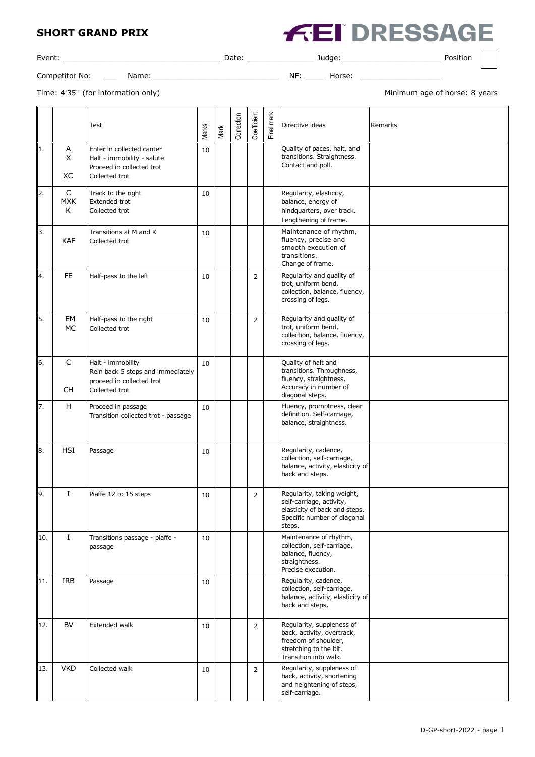## **SHORT GRAND PRIX**



| Event:         |       | Date <sup>-</sup> |    | udae.  | Position |  |
|----------------|-------|-------------------|----|--------|----------|--|
| Competitor No: | Name: |                   | ΝF | Horse: |          |  |

Time: 4'35" (for information only) and the state of the Minimum age of horse: 8 years

|     |                          | Test                                                                                                   | Marks | Mark | Correction | Coefficient    | Final mark | Directive ideas                                                                                                                    | Remarks |
|-----|--------------------------|--------------------------------------------------------------------------------------------------------|-------|------|------------|----------------|------------|------------------------------------------------------------------------------------------------------------------------------------|---------|
| 1.  | Α<br>X<br>XC             | Enter in collected canter<br>Halt - immobility - salute<br>Proceed in collected trot<br>Collected trot | 10    |      |            |                |            | Quality of paces, halt, and<br>transitions. Straightness.<br>Contact and poll.                                                     |         |
| 2.  | C<br><b>MXK</b><br>K     | Track to the right<br><b>Extended trot</b><br>Collected trot                                           | 10    |      |            |                |            | Regularity, elasticity,<br>balance, energy of<br>hindquarters, over track.<br>Lengthening of frame.                                |         |
| 3.  | <b>KAF</b>               | Transitions at M and K<br>Collected trot                                                               | 10    |      |            |                |            | Maintenance of rhythm,<br>fluency, precise and<br>smooth execution of<br>transitions.<br>Change of frame.                          |         |
| 4.  | FE.                      | Half-pass to the left                                                                                  | 10    |      |            | $\overline{2}$ |            | Regularity and quality of<br>trot, uniform bend,<br>collection, balance, fluency,<br>crossing of legs.                             |         |
| 5.  | EM<br>MC                 | Half-pass to the right<br>Collected trot                                                               | 10    |      |            | $\overline{2}$ |            | Regularity and quality of<br>trot, uniform bend,<br>collection, balance, fluency,<br>crossing of legs.                             |         |
| 6.  | $\mathsf C$<br><b>CH</b> | Halt - immobility<br>Rein back 5 steps and immediately<br>proceed in collected trot<br>Collected trot  | 10    |      |            |                |            | Quality of halt and<br>transitions. Throughness,<br>fluency, straightness.<br>Accuracy in number of<br>diagonal steps.             |         |
| 7.  | H                        | Proceed in passage<br>Transition collected trot - passage                                              | 10    |      |            |                |            | Fluency, promptness, clear<br>definition. Self-carriage,<br>balance, straightness.                                                 |         |
| 8.  | <b>HSI</b>               | Passage                                                                                                | 10    |      |            |                |            | Regularity, cadence,<br>collection, self-carriage,<br>balance, activity, elasticity of<br>back and steps.                          |         |
| 9.  | I                        | Piaffe 12 to 15 steps                                                                                  | 10    |      |            | $\overline{2}$ |            | Regularity, taking weight,<br>self-carriage, activity,<br>elasticity of back and steps.<br>Specific number of diagonal<br>steps.   |         |
| 10. | $\mathbf I$              | Transitions passage - piaffe -<br>passage                                                              | 10    |      |            |                |            | Maintenance of rhythm,<br>collection, self-carriage,<br>balance, fluency,<br>straightness.<br>Precise execution.                   |         |
| 11. | <b>IRB</b>               | Passage                                                                                                | 10    |      |            |                |            | Regularity, cadence,<br>collection, self-carriage,<br>balance, activity, elasticity of<br>back and steps.                          |         |
| 12. | <b>BV</b>                | Extended walk                                                                                          | 10    |      |            | $\overline{2}$ |            | Regularity, suppleness of<br>back, activity, overtrack,<br>freedom of shoulder,<br>stretching to the bit.<br>Transition into walk. |         |
| 13. | <b>VKD</b>               | Collected walk                                                                                         | 10    |      |            | 2              |            | Regularity, suppleness of<br>back, activity, shortening<br>and heightening of steps,<br>self-carriage.                             |         |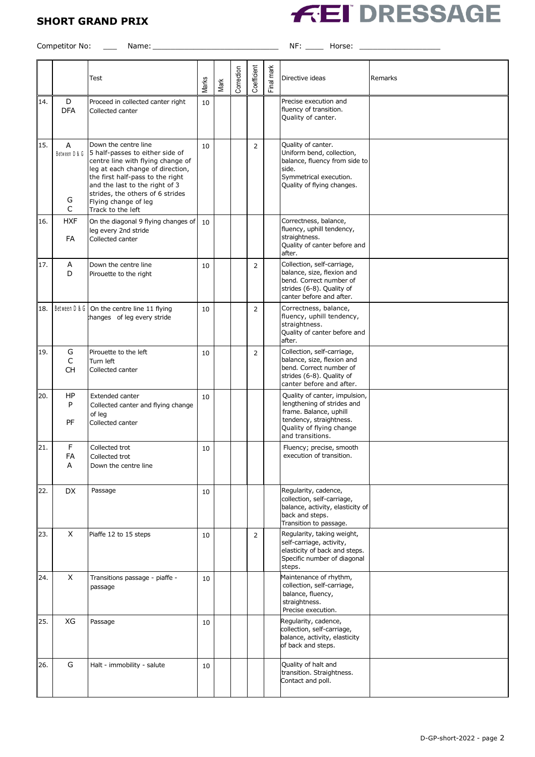## **SHORT GRAND PRIX**



Competitor No: \_\_\_ Name: \_\_\_\_\_\_\_\_\_\_\_\_\_\_\_\_\_\_\_\_\_\_\_\_\_\_\_\_ NF: \_\_\_\_ Horse: \_\_\_\_\_\_\_\_\_\_\_\_\_\_\_\_\_\_

|     |                                         | Test                                                                                                                                                                                                                                                                                    | Marks | Mark | Correction | Coefficient | Final mark | Directive ideas                                                                                                                                                  | Remarks |
|-----|-----------------------------------------|-----------------------------------------------------------------------------------------------------------------------------------------------------------------------------------------------------------------------------------------------------------------------------------------|-------|------|------------|-------------|------------|------------------------------------------------------------------------------------------------------------------------------------------------------------------|---------|
| 14. | D<br><b>DFA</b>                         | Proceed in collected canter right<br>Collected canter                                                                                                                                                                                                                                   | 10    |      |            |             |            | Precise execution and<br>fluency of transition.<br>Quality of canter.                                                                                            |         |
| 15. | A<br>Between D & G<br>G<br>$\mathsf{C}$ | Down the centre line<br>5 half-passes to either side of<br>centre line with flying change of<br>leg at each change of direction,<br>the first half-pass to the right<br>and the last to the right of 3<br>strides, the others of 6 strides<br>Flying change of leg<br>Track to the left | 10    |      |            | 2           |            | Quality of canter.<br>Uniform bend, collection,<br>balance, fluency from side to<br>side.<br>Symmetrical execution.<br>Quality of flying changes.                |         |
| 16. | <b>HXF</b><br><b>FA</b>                 | On the diagonal 9 flying changes of<br>leg every 2nd stride<br>Collected canter                                                                                                                                                                                                         | 10    |      |            |             |            | Correctness, balance,<br>fluency, uphill tendency,<br>straightness.<br>Quality of canter before and<br>after.                                                    |         |
| 17. | Α<br>D                                  | Down the centre line<br>Pirouette to the right                                                                                                                                                                                                                                          | 10    |      |            | 2           |            | Collection, self-carriage,<br>balance, size, flexion and<br>bend. Correct number of<br>strides (6-8). Quality of<br>canter before and after.                     |         |
| 18. | Between D & G                           | On the centre line 11 flying<br>hanges of leg every stride                                                                                                                                                                                                                              | 10    |      |            | 2           |            | Correctness, balance,<br>fluency, uphill tendency,<br>straightness.<br>Quality of canter before and<br>after.                                                    |         |
| 19. | G<br>$\mathsf{C}$<br><b>CH</b>          | Pirouette to the left<br>Turn left<br>Collected canter                                                                                                                                                                                                                                  | 10    |      |            | 2           |            | Collection, self-carriage,<br>balance, size, flexion and<br>bend. Correct number of<br>strides (6-8). Quality of<br>canter before and after.                     |         |
| 20. | HP<br>P<br>PF                           | Extended canter<br>Collected canter and flying change<br>of leg<br>Collected canter                                                                                                                                                                                                     | 10    |      |            |             |            | Quality of canter, impulsion,<br>lengthening of strides and<br>frame. Balance, uphill<br>tendency, straightness.<br>Quality of flying change<br>and transitions. |         |
| 21. | F<br>FA<br>A                            | Collected trot<br>Collected trot<br>Down the centre line                                                                                                                                                                                                                                | 10    |      |            |             |            | Fluency; precise, smooth<br>execution of transition.                                                                                                             |         |
| 22. | DX.                                     | Passage                                                                                                                                                                                                                                                                                 | 10    |      |            |             |            | Regularity, cadence,<br>collection, self-carriage,<br>balance, activity, elasticity of<br>back and steps.<br>Transition to passage.                              |         |
| 23. | X                                       | Piaffe 12 to 15 steps                                                                                                                                                                                                                                                                   | 10    |      |            | 2           |            | Regularity, taking weight,<br>self-carriage, activity,<br>elasticity of back and steps.<br>Specific number of diagonal<br>steps.                                 |         |
| 24. | X                                       | Transitions passage - piaffe -<br>passage                                                                                                                                                                                                                                               | 10    |      |            |             |            | Maintenance of rhythm,<br>collection, self-carriage,<br>balance, fluency,<br>straightness.<br>Precise execution.                                                 |         |
| 25. | XG                                      | Passage                                                                                                                                                                                                                                                                                 | 10    |      |            |             |            | Regularity, cadence,<br>collection, self-carriage,<br>balance, activity, elasticity<br>of back and steps.                                                        |         |
| 26. | G                                       | Halt - immobility - salute                                                                                                                                                                                                                                                              | 10    |      |            |             |            | Quality of halt and<br>transition. Straightness.<br>Contact and poll.                                                                                            |         |